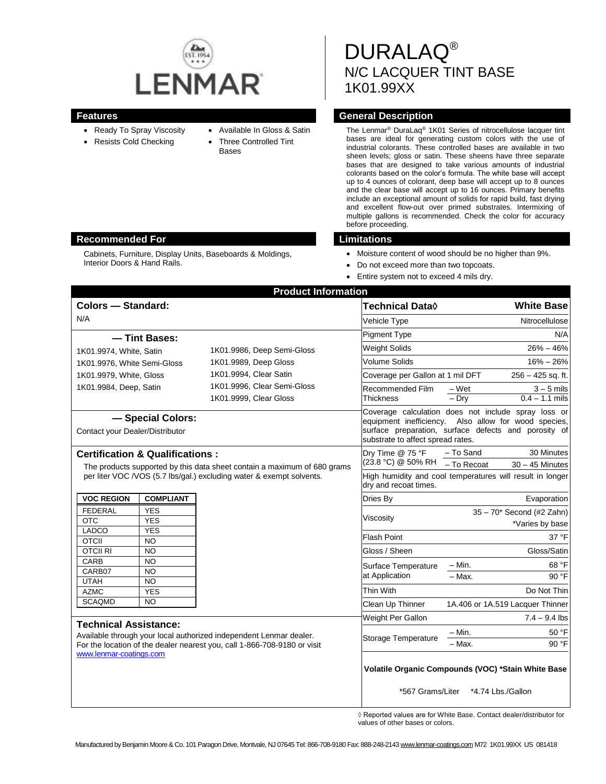

- Available In Gloss & Satin
- Ready To Spray Viscosity Resists Cold Checking
- Three Controlled Tint
- Bases

DURALAQ® N/C LACQUER TINT BASE 1K01.99XX

## **Features General Description**

The Lenmar® DuraLaq® 1K01 Series of nitrocellulose lacquer tint bases are ideal for generating custom colors with the use of industrial colorants. These controlled bases are available in two sheen levels; gloss or satin. These sheens have three separate bases that are designed to take various amounts of industrial colorants based on the color's formula. The white base will accept up to 4 ounces of colorant, deep base will accept up to 8 ounces and the clear base will accept up to 16 ounces. Primary benefits include an exceptional amount of solids for rapid build, fast drying and excellent flow-out over primed substrates. Intermixing of multiple gallons is recommended. Check the color for accuracy before proceeding.

- Moisture content of wood should be no higher than 9%.
- Do not exceed more than two topcoats.
- Entire system not to exceed 4 mils dry.

|                                                                                                                                                                                                 |                         | <b>Product Information</b>                            |                                                              |                                                                                                                                             |
|-------------------------------------------------------------------------------------------------------------------------------------------------------------------------------------------------|-------------------------|-------------------------------------------------------|--------------------------------------------------------------|---------------------------------------------------------------------------------------------------------------------------------------------|
| <b>Colors - Standard:</b>                                                                                                                                                                       |                         |                                                       | <b>Technical Data</b> ♦                                      | <b>White Base</b>                                                                                                                           |
| N/A                                                                                                                                                                                             |                         |                                                       | Vehicle Type                                                 | Nitrocellulose                                                                                                                              |
|                                                                                                                                                                                                 | - Tint Bases:           |                                                       | <b>Pigment Type</b>                                          | N/A                                                                                                                                         |
| 1K01.9986, Deep Semi-Gloss<br>1K01.9974, White, Satin                                                                                                                                           |                         | <b>Weight Solids</b>                                  | $26\% - 46\%$                                                |                                                                                                                                             |
| 1K01.9976, White Semi-Gloss                                                                                                                                                                     |                         | 1K01.9989, Deep Gloss                                 | Volume Solids                                                | $16\% - 26\%$                                                                                                                               |
| 1K01.9979, White, Gloss                                                                                                                                                                         |                         | 1K01.9994, Clear Satin<br>1K01.9996, Clear Semi-Gloss | Coverage per Gallon at 1 mil DFT                             | $256 - 425$ sq. ft.                                                                                                                         |
| 1K01.9984, Deep, Satin                                                                                                                                                                          |                         |                                                       | Recommended Film                                             | $-Wet$<br>$3 - 5$ mils                                                                                                                      |
|                                                                                                                                                                                                 |                         | 1K01.9999, Clear Gloss                                | Thickness                                                    | $0.4 - 1.1$ mils<br>$-$ Dry                                                                                                                 |
| - Special Colors:<br>Contact your Dealer/Distributor                                                                                                                                            |                         |                                                       | equipment inefficiency.<br>substrate to affect spread rates. | Coverage calculation does not include spray loss or<br>Also allow for wood species,<br>surface preparation, surface defects and porosity of |
| <b>Certification &amp; Qualifications:</b><br>The products supported by this data sheet contain a maximum of 680 grams<br>per liter VOC / VOS (5.7 lbs/gal.) excluding water & exempt solvents. |                         |                                                       | Dry Time @ 75 °F<br>(23.8 °C) @ 50% RH                       | 30 Minutes<br>- To Sand                                                                                                                     |
|                                                                                                                                                                                                 |                         |                                                       | dry and recoat times.                                        | - To Recoat<br>$30 - 45$ Minutes<br>High humidity and cool temperatures will result in longer                                               |
| <b>VOC REGION</b>                                                                                                                                                                               | <b>COMPLIANT</b>        |                                                       | Dries By                                                     | Evaporation                                                                                                                                 |
| <b>FEDERAL</b>                                                                                                                                                                                  | <b>YES</b>              |                                                       |                                                              | 35 - 70* Second (#2 Zahn)                                                                                                                   |
| <b>OTC</b>                                                                                                                                                                                      | <b>YES</b>              |                                                       | Viscosity                                                    | *Varies by base                                                                                                                             |
| <b>LADCO</b><br><b>OTCII</b>                                                                                                                                                                    | <b>YES</b><br><b>NO</b> |                                                       | <b>Flash Point</b>                                           | 37 °F                                                                                                                                       |
| <b>OTCII RI</b>                                                                                                                                                                                 | <b>NO</b>               |                                                       | Gloss / Sheen                                                | Gloss/Satin                                                                                                                                 |
| <b>CARB</b>                                                                                                                                                                                     | <b>NO</b>               |                                                       | Surface Temperature                                          | – Min.<br>68 °F                                                                                                                             |
| CARB07                                                                                                                                                                                          | <b>NO</b>               |                                                       | at Application                                               | $-$ Max.<br>90 °F                                                                                                                           |
| <b>UTAH</b><br><b>AZMC</b>                                                                                                                                                                      | <b>NO</b><br><b>YES</b> |                                                       | Thin With                                                    | Do Not Thin                                                                                                                                 |
| <b>SCAQMD</b>                                                                                                                                                                                   | <b>NO</b>               |                                                       | Clean Up Thinner                                             | 1A.406 or 1A.519 Lacquer Thinner                                                                                                            |
|                                                                                                                                                                                                 |                         |                                                       | Weight Per Gallon                                            | $7.4 - 9.4$ lbs                                                                                                                             |
| <b>Technical Assistance:</b><br>Available through your local authorized independent Lenmar dealer.                                                                                              |                         |                                                       |                                                              |                                                                                                                                             |
|                                                                                                                                                                                                 |                         |                                                       | Storage Temperature                                          | 50 °F<br>– Min.                                                                                                                             |
| For the location of the dealer nearest you, call 1-866-708-9180 or visit<br>www.lenmar-coatings.com                                                                                             |                         |                                                       |                                                              | 90 °F<br>– Max.                                                                                                                             |
|                                                                                                                                                                                                 |                         |                                                       |                                                              | Volatile Organic Compounds (VOC) *Stain White Base<br>*567 Grams/Liter *4.74 Lbs./Gallon                                                    |

◊ Reported values are for White Base. Contact dealer/distributor for values of other bases or colors.

## **Recommended For Limitations**

Cabinets, Furniture, Display Units, Baseboards & Moldings, Interior Doors & Hand Rails.